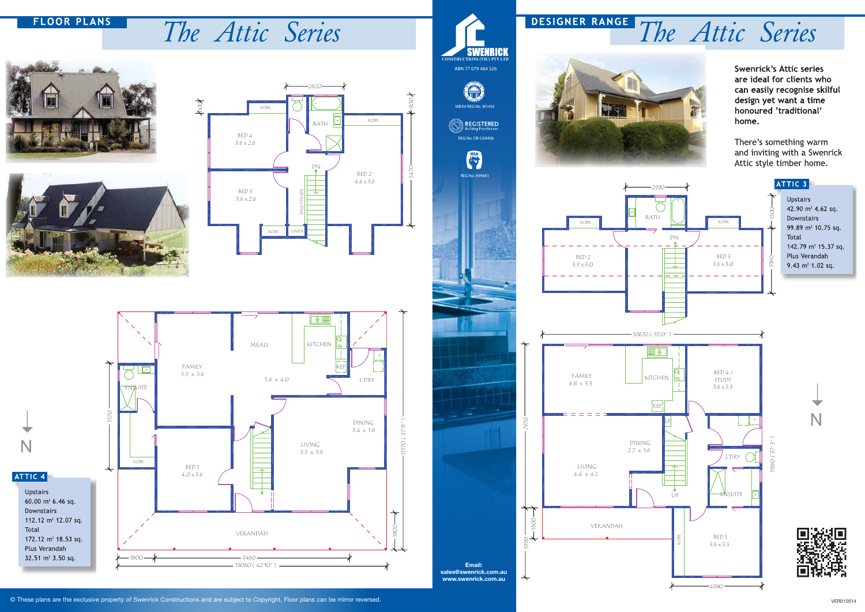© These plans are the exclusive property of Swenrick Constructions and are subject to Copyright. Floor plans can be mirror reversed.





**Swenrick's Attic series** are ideal for clients who can easily recognise skilful design yet want a time honoured 'traditional' home.

There's something warm and inviting with a Swenrick Attic style timber home.







## **FLOOR PLANS**